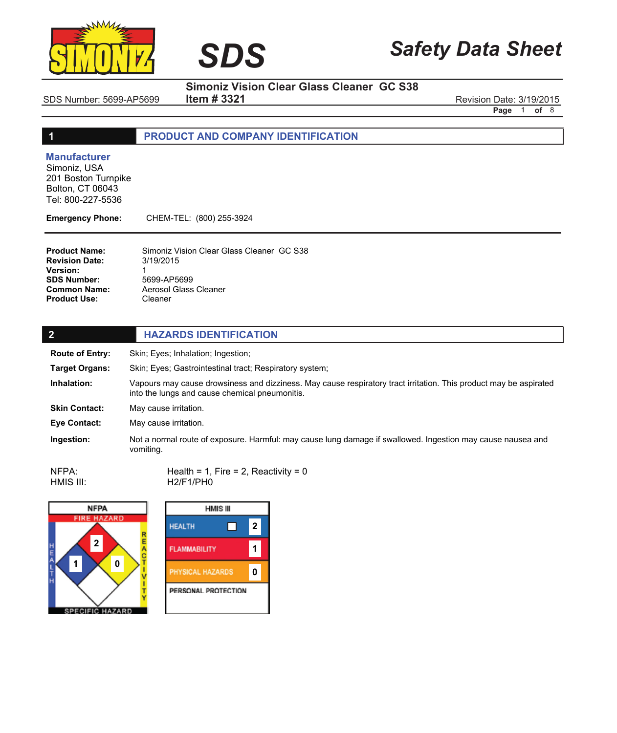



**Item # 3321**

SDS Number: 5699-AP5699 **Item # 3321** SDS Number: 5699-AP5699 Revision Date: 3/19/2015

**Page** 1 **of** 8

# **1 PRODUCT AND COMPANY IDENTIFICATION**

**SIMONIZ** *SDS*

#### **Manufacturer**

Simoniz, USA 201 Boston Turnpike Bolton, CT 06043 Tel: 800-227-5536

**Emergency Phone:** CHEM-TEL: (800) 255-3924

| <b>Product Name:</b>  | Simoniz Vision Clear Glass Cleaner GC S38 |  |
|-----------------------|-------------------------------------------|--|
| <b>Revision Date:</b> | 3/19/2015                                 |  |
| <b>Version:</b>       |                                           |  |
| <b>SDS Number:</b>    | 5699-AP5699                               |  |
| <b>Common Name:</b>   | Aerosol Glass Cleaner                     |  |
| <b>Product Use:</b>   | Cleaner                                   |  |

| $\overline{2}$         | <b>HAZARDS IDENTIFICATION</b>                                                                                                                                       |  |  |
|------------------------|---------------------------------------------------------------------------------------------------------------------------------------------------------------------|--|--|
| <b>Route of Entry:</b> | Skin; Eyes; Inhalation; Ingestion;                                                                                                                                  |  |  |
| <b>Target Organs:</b>  | Skin: Eyes: Gastrointestinal tract: Respiratory system:                                                                                                             |  |  |
| Inhalation:            | Vapours may cause drowsiness and dizziness. May cause respiratory tract irritation. This product may be aspirated<br>into the lungs and cause chemical pneumonitis. |  |  |
| <b>Skin Contact:</b>   | May cause irritation.                                                                                                                                               |  |  |
| Eye Contact:           | May cause irritation.                                                                                                                                               |  |  |
| Ingestion:             | Not a normal route of exposure. Harmful: may cause lung damage if swallowed. Ingestion may cause nausea and<br>vomiting.                                            |  |  |

Health =  $1$ , Fire =  $2$ , Reactivity =  $0$ H2/F1/PH0 NFPA: HMIS III:



| <b>HMIS III</b>         |   |  |  |
|-------------------------|---|--|--|
|                         | 2 |  |  |
| <b>FLAMMABILITY</b>     |   |  |  |
| <b>PHYSICAL HAZARDS</b> |   |  |  |
| PERSONAL PROTECTION     |   |  |  |
|                         |   |  |  |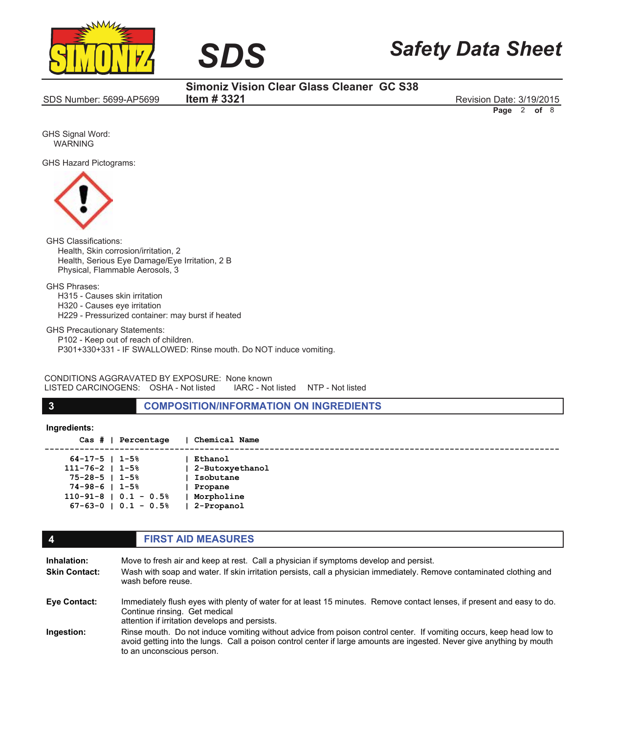



SDS Number: 5699-AP5699 Revision Date: 3/19/2015

**Simoniz Vision Clear Glass Cleaner GC S38 Item # 3321**

**Page** 2 **of** 8

GHS Signal Word: WARNING

GHS Hazard Pictograms:



GHS Classifications: Health, Skin corrosion/irritation, 2 Health, Serious Eye Damage/Eye Irritation, 2 B Physical, Flammable Aerosols, 3

GHS Phrases:

 H315 - Causes skin irritation H320 - Causes eye irritation H229 - Pressurized container: may burst if heated

GHS Precautionary Statements: P102 - Keep out of reach of children. P301+330+331 - IF SWALLOWED: Rinse mouth. Do NOT induce vomiting.

CONDITIONS AGGRAVATED BY EXPOSURE: None known LISTED CARCINOGENS: OSHA - Not listed

**3 COMPOSITION/INFORMATION ON INGREDIENTS**

**Ingredients:**

 **Cas # | Percentage | Chemical Name**

| $64 - 17 - 5$   1-5%       | Ethanol         |
|----------------------------|-----------------|
| $111 - 76 - 2$   1-5%      | 2-Butoxyethanol |
| $75 - 28 - 5$   1-5%       | Isobutane       |
| $74 - 98 - 6$   1-5%       | Propane         |
| $110-91-8$   0.1 - 0.5%    | Morpholine      |
| $67 - 63 - 0$   0.1 - 0.5% | 2-Propanol      |
|                            |                 |

#### **4 FIRST AID MEASURES** Move to fresh air and keep at rest. Call a physician if symptoms develop and persist. Wash with soap and water. If skin irritation persists, call a physician immediately. Remove contaminated clothing and wash before reuse. Immediately flush eyes with plenty of water for at least 15 minutes. Remove contact lenses, if present and easy to do. Continue rinsing. Get medical attention if irritation develops and persists. Rinse mouth. Do not induce vomiting without advice from poison control center. If vomiting occurs, keep head low to avoid getting into the lungs. Call a poison control center if large amounts are ingested. Never give anything by mouth to an unconscious person. **Inhalation: Skin Contact: Eye Contact: Ingestion:**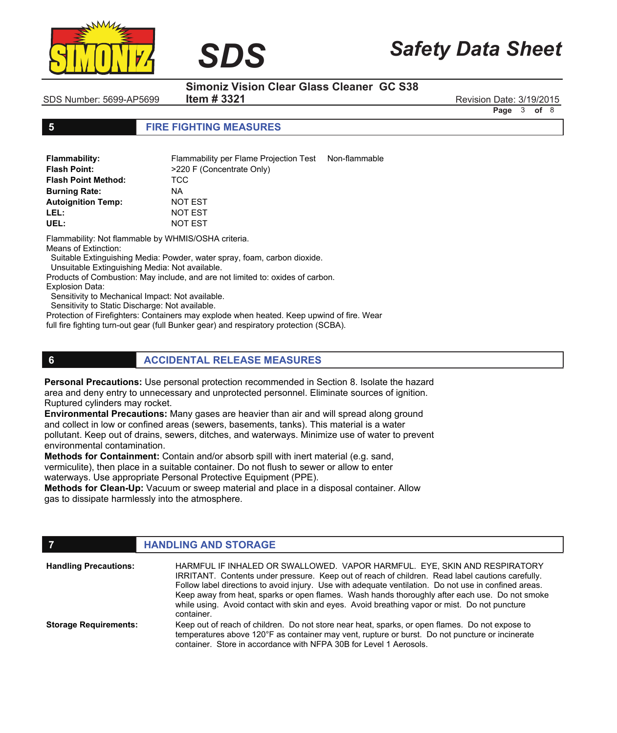



SDS Number: 5699-AP5699 Revision Date: 3/19/2015

**Item # 3321**

 $SDS$ 

**Page** 3 **of** 8

#### **5 FIRE FIGHTING MEASURES**

| <b>Flammability:</b>       | Flammability per Flame Projection Test Non-flammable |  |
|----------------------------|------------------------------------------------------|--|
| <b>Flash Point:</b>        | >220 F (Concentrate Only)                            |  |
| <b>Flash Point Method:</b> | TCC.                                                 |  |
| <b>Burning Rate:</b>       | NA.                                                  |  |
| <b>Autoignition Temp:</b>  | NOT EST                                              |  |
| LEL:                       | NOT EST                                              |  |
| UEL:                       | NOT EST                                              |  |

Flammability: Not flammable by WHMIS/OSHA criteria.

Means of Extinction:

Suitable Extinguishing Media: Powder, water spray, foam, carbon dioxide.

Unsuitable Extinguishing Media: Not available.

Products of Combustion: May include, and are not limited to: oxides of carbon.

Explosion Data:

Sensitivity to Mechanical Impact: Not available.

Sensitivity to Static Discharge: Not available.

Protection of Firefighters: Containers may explode when heated. Keep upwind of fire. Wear

full fire fighting turn-out gear (full Bunker gear) and respiratory protection (SCBA).

## **6 ACCIDENTAL RELEASE MEASURES**

**Personal Precautions:** Use personal protection recommended in Section 8. Isolate the hazard area and deny entry to unnecessary and unprotected personnel. Eliminate sources of ignition. Ruptured cylinders may rocket.

**Environmental Precautions:** Many gases are heavier than air and will spread along ground and collect in low or confined areas (sewers, basements, tanks). This material is a water pollutant. Keep out of drains, sewers, ditches, and waterways. Minimize use of water to prevent environmental contamination.

**Methods for Containment:** Contain and/or absorb spill with inert material (e.g. sand, vermiculite), then place in a suitable container. Do not flush to sewer or allow to enter

waterways. Use appropriate Personal Protective Equipment (PPE).

**Methods for Clean-Up:** Vacuum or sweep material and place in a disposal container. Allow gas to dissipate harmlessly into the atmosphere.

#### **FIGURE 12 IN STORAGE** HARMFUL IF INHALED OR SWALLOWED. VAPOR HARMFUL. EYE, SKIN AND RESPIRATORY IRRITANT. Contents under pressure. Keep out of reach of children. Read label cautions carefully. Follow label directions to avoid injury. Use with adequate ventilation. Do not use in confined areas. Keep away from heat, sparks or open flames. Wash hands thoroughly after each use. Do not smoke while using. Avoid contact with skin and eyes. Avoid breathing vapor or mist. Do not puncture container. Keep out of reach of children. Do not store near heat, sparks, or open flames. Do not expose to temperatures above 120°F as container may vent, rupture or burst. Do not puncture or incinerate **Handling Precautions: Storage Requirements:**

container. Store in accordance with NFPA 30B for Level 1 Aerosols.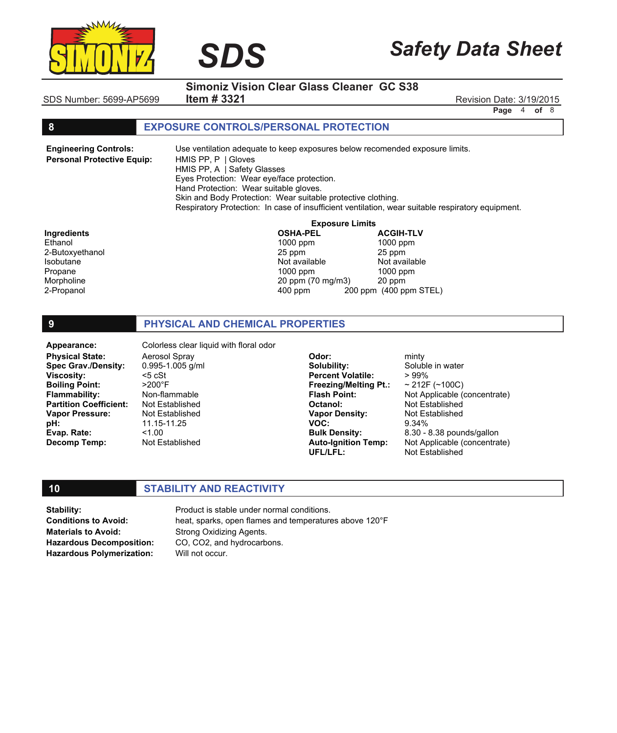

# *Safety Data Sheet*

**Page** 4 **of** 8

**Simoniz Vision Clear Glass Cleaner GC S38**

SDS Number: 5699-AP5699 Revision Date: 3/19/2015 **Item # 3321**

 $SDS$ 

#### **8 EXPOSURE CONTROLS/PERSONAL PROTECTION**

**Engineering Controls: Personal Protective Equip:** Use ventilation adequate to keep exposures below recomended exposure limits. HMIS PP, P | Gloves HMIS PP, A | Safety Glasses Eyes Protection: Wear eye/face protection. Hand Protection: Wear suitable gloves. Skin and Body Protection: Wear suitable protective clothing. Respiratory Protection: In case of insufficient ventilation, wear suitable respiratory equipment.

**Exposure Limits<br>OSHA-PEL ACGIH-TLV** 

400 ppm 200 ppm (400 ppm STEL)

**Ingredients OSHA-PEL ACGIH-TLV** Ethanol 1000 ppm 1000 ppm 2-Butoxyethanol 25 ppm 25 ppm Isobutane Not available Not available Not available Not available Not available Propane 1000 ppm 1000 ppm 1000 ppm 1000 ppm Morpholine 20 ppm (70 mg/m3) 20 ppm

# **9 PHYSICAL AND CHEMICAL PROPERTIES**

**Physical State: Spec Grav./Density: Viscosity: Boiling Point: Flammability: Partition Coefficient: Vapor Pressure: pH: Evap. Rate: Decomp Temp:** Appearance: Colorless clear liquid with floral odor

Aerosol Spray 0.995-1.005 g/ml <5 cSt >200°F Non-flammable Not Established Not Established 11.15-11.25  $1.00$ Not Established

**Odor: Solubility: Percent Volatile: Freezing/Melting Pt.: Flash Point: Octanol: Vapor Density: VOC: Bulk Density: Auto-Ignition Temp: UFL/LFL:**

minty Soluble in water > 99%  $~212F~(^{-100C})$ Not Applicable (concentrate) Not Established Not Established 9.34% 8.30 - 8.38 pounds/gallon Not Applicable (concentrate) Not Established

#### **10 STABILITY AND REACTIVITY**

**Stability: Conditions to Avoid: Materials to Avoid:**

**Hazardous Decomposition: Hazardous Polymerization:**

Product is stable under normal conditions. heat, sparks, open flames and temperatures above 120°F Strong Oxidizing Agents. CO, CO2, and hydrocarbons. Will not occur.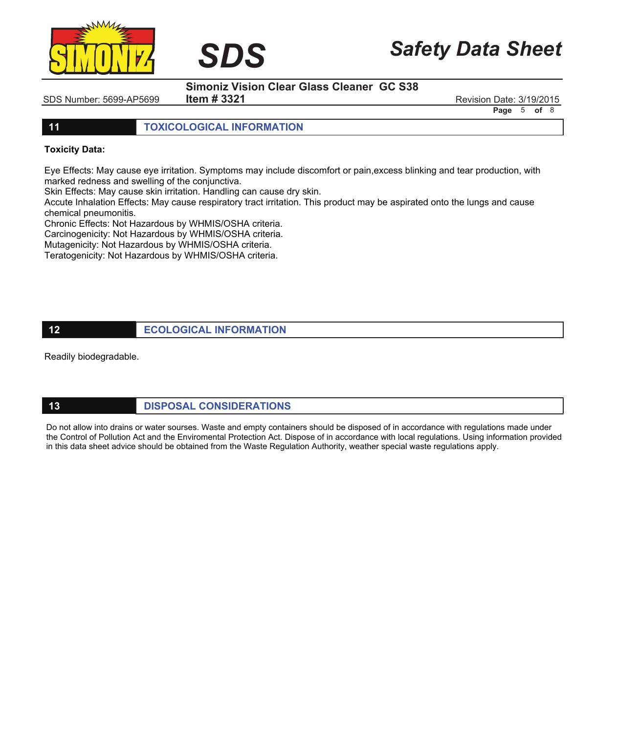

**Item # 3321**

SDS Number: 5699-AP5699 Revision Date: 3/19/2015

*Safety Data Sheet*

**Page** 5 **of** 8

**11 TOXICOLOGICAL INFORMATION**

**SIMONIZ** *SDS*

#### **Toxicity Data:**

Eye Effects: May cause eye irritation. Symptoms may include discomfort or pain,excess blinking and tear production, with marked redness and swelling of the conjunctiva.

Skin Effects: May cause skin irritation. Handling can cause dry skin.

Accute Inhalation Effects: May cause respiratory tract irritation. This product may be aspirated onto the lungs and cause chemical pneumonitis.

Chronic Effects: Not Hazardous by WHMIS/OSHA criteria.

Carcinogenicity: Not Hazardous by WHMIS/OSHA criteria.

Mutagenicity: Not Hazardous by WHMIS/OSHA criteria.

Teratogenicity: Not Hazardous by WHMIS/OSHA criteria.

### **12 ECOLOGICAL INFORMATION**

Readily biodegradable.

# **13 DISPOSAL CONSIDERATIONS**

Do not allow into drains or water sourses. Waste and empty containers should be disposed of in accordance with regulations made under the Control of Pollution Act and the Enviromental Protection Act. Dispose of in accordance with local regulations. Using information provided in this data sheet advice should be obtained from the Waste Regulation Authority, weather special waste regulations apply.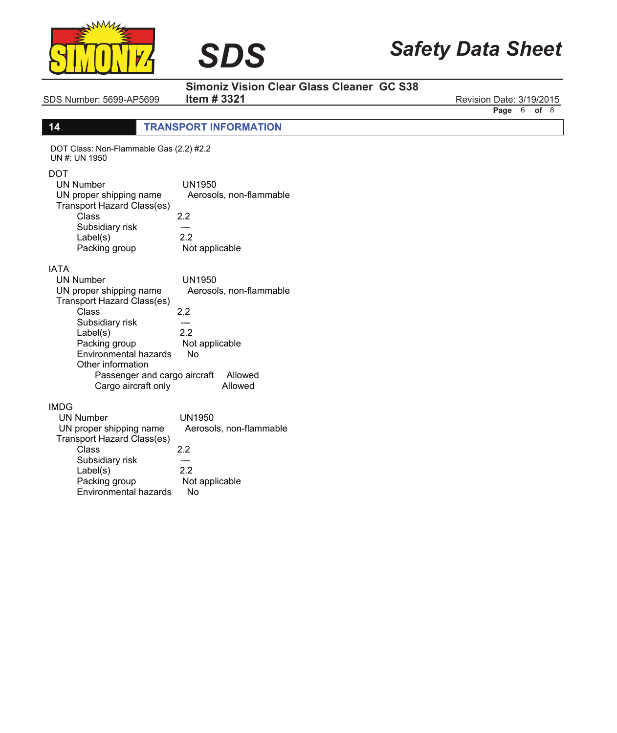



SDS Number: 5699-AP5699 **Item # 3321** Revision Date: 3/19/2015

**Item # 3321**

**Page** 6 **of** 8

# **14 TRANSPORT INFORMATION**

**SIMONIZ** *SDS*

| DOT Class: Non-Flammable Gas (2.2) #2.2<br>UN #: UN 1950                                                                                                                                                                                               |                                                                                                     |
|--------------------------------------------------------------------------------------------------------------------------------------------------------------------------------------------------------------------------------------------------------|-----------------------------------------------------------------------------------------------------|
| DOT<br><b>UN Number</b><br>UN proper shipping name<br>Transport Hazard Class(es)<br>Class<br>Subsidiary risk<br>Label(s)<br>Packing group                                                                                                              | UN1950<br>Aerosols, non-flammable<br>2.2<br>---<br>2.2<br>Not applicable                            |
| IATA<br><b>UN Number</b><br>UN proper shipping name<br>Transport Hazard Class(es)<br>Class<br>Subsidiary risk<br>Label(s)<br>Packing group<br><b>Environmental hazards</b><br>Other information<br>Passenger and cargo aircraft<br>Cargo aircraft only | UN1950<br>Aerosols, non-flammable<br>2.2<br>---<br>22<br>Not applicable<br>No<br>Allowed<br>Allowed |
| <b>IMDG</b><br>UN Number<br>UN proper shipping name<br>Transport Hazard Class(es)<br>Class<br>Subsidiary risk<br>Label(s)<br>Packing group<br><b>Environmental hazards</b>                                                                             | UN1950<br>Aerosols, non-flammable<br>2.2<br>---<br>2.2<br>Not applicable<br>No                      |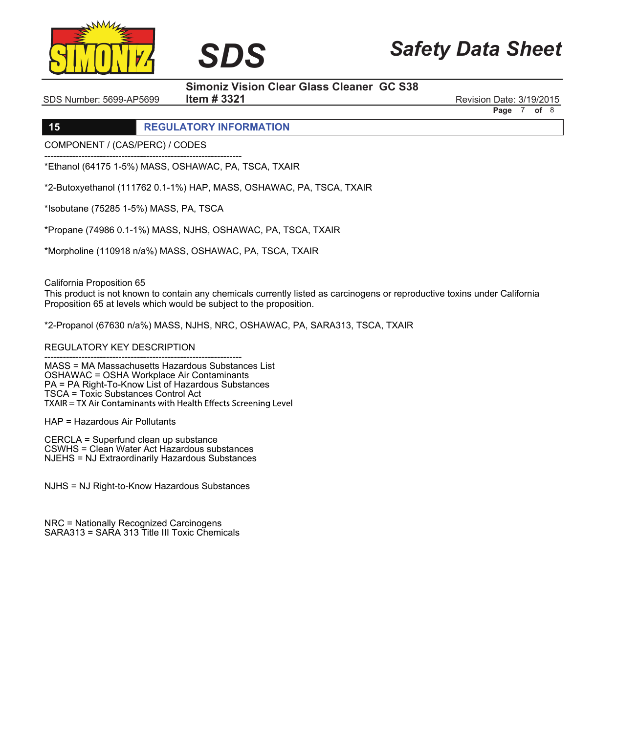

# *Safety Data Sheet*

## **Simoniz Vision Clear Glass Cleaner GC S38**

SDS Number: 5699-AP5699 Revision Date: 3/19/2015

**Page** 7 **of** 8

# **15 REGULATORY INFORMATION**

COMPONENT / (CAS/PERC) / CODES

---------------------------------------------------------------- \*Ethanol (64175 1-5%) MASS, OSHAWAC, PA, TSCA, TXAIR

\*2-Butoxyethanol (111762 0.1-1%) HAP, MASS, OSHAWAC, PA, TSCA, TXAIR

**Item # 3321**

**SIMONIZ** *SDS*

\*Isobutane (75285 1-5%) MASS, PA, TSCA

\*Propane (74986 0.1-1%) MASS, NJHS, OSHAWAC, PA, TSCA, TXAIR

\*Morpholine (110918 n/a%) MASS, OSHAWAC, PA, TSCA, TXAIR

California Proposition 65

This product is not known to contain any chemicals currently listed as carcinogens or reproductive toxins under California Proposition 65 at levels which would be subject to the proposition.

\*2-Propanol (67630 n/a%) MASS, NJHS, NRC, OSHAWAC, PA, SARA313, TSCA, TXAIR

REGULATORY KEY DESCRIPTION

---------------------------------------------------------------- MASS = MA Massachusetts Hazardous Substances List OSHAWAC = OSHA Workplace Air Contaminants PA = PA Right-To-Know List of Hazardous Substances TSCA = Toxic Substances Control Act

HAP = Hazardous Air Pollutants

CERCLA = Superfund clean up substance CSWHS = Clean Water Act Hazardous substances NJEHS = NJ Extraordinarily Hazardous Substances

NJHS = NJ Right-to-Know Hazardous Substances

NRC = Nationally Recognized Carcinogens SARA313 = SARA 313 Title III Toxic Chemicals